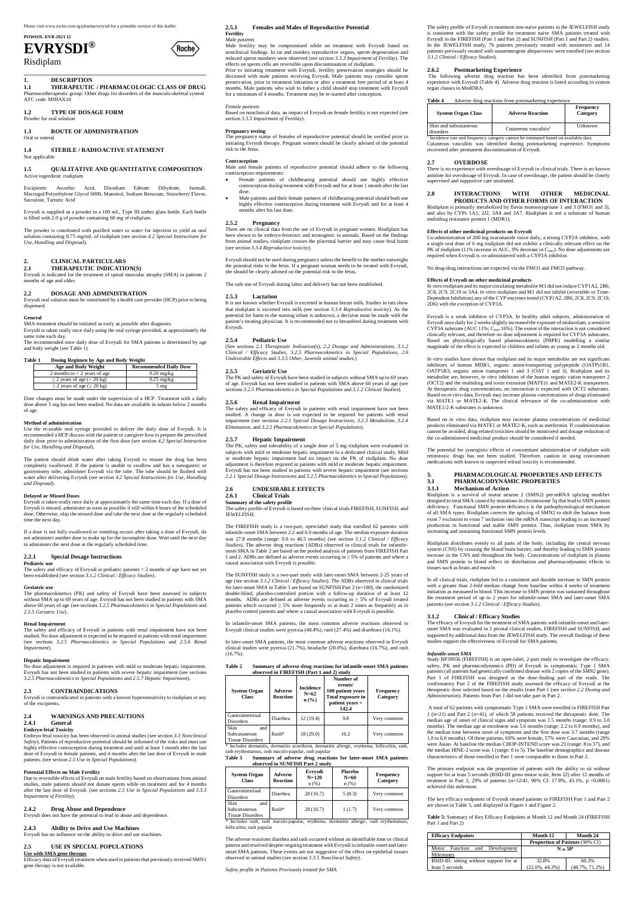Please visit www.roche.com.sg/pharma/evrysdi for a printable version of this leaflet.

**POWSOL-EVR-2021 12**

# **EVRYSDI®**

## Risdiplam

#### \_\_\_\_\_\_\_\_\_\_\_\_\_\_\_\_\_\_\_\_\_\_\_\_\_\_\_\_\_\_\_\_\_\_\_\_\_\_\_\_\_\_\_\_ **1. DESCRIPTION**

**1.1 THERAPEUTIC / PHARMACOLOGIC CLASS OF DRUG** Pharmacotherapeutic group: Other drugs for disorders of the musculo-skeletal system ATC code: M09AX10

**1.2 TYPE OF DOSAGE FORM** Powder for oral solution

**1.3 ROUTE OF ADMINISTRATION** Oral or enteral

**1.4 STERILE / RADIOACTIVE STATEMENT** Not applicable

#### **1.5 QUALITATIVE AND QUANTITATIVE COMPOSITION** Active ingredient: risdiplam

Excipients: Ascorbic Acid, Disodium Edetate Dihydrate, Isomalt, Macrogol/Polyethylene Glycol 6000, Mannitol, Sodium Benzoate, Strawberry Flavor, Sucralose, Tartaric Acid

Evrysdi is supplied as a powder in a 100 mL, Type III amber glass bottle. Each bottle is filled with 2.0 g of powder containing 60 mg of risdiplam.

The powder is constituted with purified water or water for injection to yield an oral solution containing 0.75 mg/mL of risdiplam (see section *4.2 Special Instructions for Use, Handling and Disposal*).

#### **2. CLINICAL PARTICULARS**

**2.1 THERAPEUTIC INDICATION(S)** Evrysdi is indicated for the treatment of spinal muscular atrophy (SMA) in patients 2 months of age and older.

#### **2.2 DOSAGE AND ADMINISTRATION**

Evrysdi oral solution must be constituted by a health care provider (HCP) prior to being dispensed.

#### **General**

SMA treatment should be initiated as early as possible after diagnosis. Evrysdi is taken orally once daily using the oral syringe provided, at approximately the same time each day.

The recommended once daily dose of Evrysdi for SMA patients is determined by age and body weight (see Table 1).

#### **Table 1 Dosing Regimen by Age and Body Weight**

| <b>Age and Body Weight</b>            | <b>Recommended Daily Dose</b> |  |
|---------------------------------------|-------------------------------|--|
| 2 months to $<$ 2 years of age        | $0.20$ mg/kg                  |  |
| $\geq$ 2 years of age (< 20 kg)       | $0.25$ mg/kg                  |  |
| $\geq$ 2 years of age ( $\geq$ 20 kg) | $5 \text{ mg}$                |  |

Dose changes must be made under the supervision of a HCP. Treatment with a daily dose above 5 mg has not been studied. No data are available in infants below 2 months of age.

#### **Method of administration**

Use the re-usable oral syringe provided to deliver the daily dose of Evrysdi. It is recommended a HCP discuss with the patient or caregiver how to prepare the prescribed daily dose prior to administration of the first dose (see section *4.2 Special Instruction for Use, Handling and Disposal*).

The patient should drink water after taking Evrysdi to ensure the drug has been completely swallowed. If the patient is unable to swallow and has a nasogastric or gastrostomy tube, administer Evrysdi via the tube. The tube should be flushed with water after delivering Evrysdi (see section *4.2 Special Instructions for Use, Handling and Disposal*).

#### **Delayed or Missed Doses**

Evrysdi is taken orally once daily at approximately the same time each day. If a dose of Evrysdi is missed, administer as soon as possible if still within 6 hours of the scheduled dose. Otherwise, skip the missed dose and take the next dose at the regularly scheduled time the next day.

If a dose is not fully swallowed or vomiting occurs after taking a dose of Evrysdi, do not administer another dose to make up for the incomplete dose. Wait until the next day to administer the next dose at the regularly scheduled time.

#### **2.2.1 Special Dosage Instructions**

**Pediatric use** The safety and efficacy of Evrysdi in pediatric patients < 2 months of age have not yet been established (see section *3.1.2 Clinical / Efficacy Studies*).

#### **Geriatric use**

The pharmacokinetics (PK) and safety of Evrysdi have been assessed in subjects without SMA up to 69 years of age. Evrysdi has not been studied in patients with SMA above 60 years of age (see sections *3.2.5 Pharmacokinetics in Special Populations* and *2.5.5 Geriatric Use*).

#### **Renal Impairment**

There are no clinical data from the use of Evrysdi in pregnant women. Risdiplam has been shown to be embryo-fetotoxic and teratogenic in animals. Based on the findings from animal studies, risdiplam crosses the placental barrier and may cause fetal harm (see section *3.3.4 Reproductive toxicity*).

The safety and efficacy of Evrysdi in patients with renal impairment have not been studied. No dose adjustment is expected to be required in patients with renal impairment (see sections *3.2.5 Pharmacokinetics in Special Populations* and *2.5.6 Renal Impairment*).

#### **Hepatic Impairment**

No dose adjustment is required in patients with mild or moderate hepatic impairment. Evrysdi has not been studied in patients with severe hepatic impairment (see sections

*3.2.5 Pharmacokinetics in Special Populations* and *2.5.7 Hepatic Impairment*).

#### **2.3 CONTRAINDICATIONS**

Evrysdi is contraindicated in patients with a known hypersensitivity to risdiplam or any of the excipients.

#### **2.4 WARNINGS AND PRECAUTIONS**

#### **2.4.1 General**

#### **Embryo-fetal Toxicity**

Embryo-fetal toxicity has been observed in animal studies (see section *3.3 Nonclinical Safety*). Patients of reproductive potential should be informed of the risks and must use highly effective contraception during treatment and until at least 1 month after the last dose of Evrysdi in female patients, and 4 months after the last dose of Evrysdi in male patients. (see section *2.5 Use in Special Populations*).

#### **Potential Effects on Male Fertility**

Due to reversible effects of Evrysdi on male fertility based on observations from animal studies, male patients should not donate sperm while on treatment and for 4 months after the last dose of Evrysdi. (see sections *2.5 Use in Special Populations* and *3.3.3 Impairment of Fertility*).

#### **2.4.2 Drug Abuse and Dependence**

Evrysdi does not have the potential to lead to abuse and dependence.

#### **2.4.3 Ability to Drive and Use Machines**

Evrysdi has no influence on the ability to drive and use machines.

#### **2.5 USE IN SPECIAL POPULATIONS**

#### **Use with SMA gene therapy**

Efficacy data of Evrysdi treatment when used in patients that previously received SMN1 gene therapy is not available.

In later-onset SMA patients, the most common adverse reactions observed in Evrysdi clinical studies were pyrexia (21.7%), headache (20.0%), diarrhoea (16.7%), and rash  $(16.7\%)$ .

#### **2.5.1 Females and Males of Reproductive Potential Fertility**

#### *Male patients*

Male fertility may be compromised while on treatment with Evrysdi based on nonclinical findings. In rat and monkey reproductive organs, sperm degeneration and reduced sperm numbers were observed (see *section 3.3.3 Impairment of Fertility*). The effects on sperm cells are reversible upon discontinuation of risdiplam. Prior to initiating treatment with Evrysdi, fertility preservation strategies should be discussed with male patients receiving Evrysdi. Male patients may consider sperm preservation, prior to treatment initiation or after a treatment free period of at least 4 months. Male patients who wish to father a child should stop treatment with Evrysdi for a minimum of 4 months. Treatment may be re-started after conception.

*Female patients*

Based on nonclinical data, an impact of Evrysdi on female fertility is not expected (see section *3.3.3 Impairment of Fertility*).

#### **Pregnancy testing**

The pregnancy status of females of reproductive potential should be verified prior to initiating Evrysdi therapy. Pregnant women should be clearly advised of the potential risk to the fetus.

#### **Contraception**

Male and female patients of reproductive potential should adhere to the following contraception requirements:

- Female patients of childbearing potential should use highly effective contraception during treatment with Evrysdi and for at least 1 month after the last dose.
- Male patients and their female partners of childbearing potential should both use highly effective contraception during treatment with Evrysdi and for at least 4 months after his last dose.

#### **2.5.2 Pregnancy**

Evrysdi should not be used during pregnancy unless the benefit to the mother outweighs the potential risks to the fetus. If a pregnant woman needs to be treated with Evrysdi, she should be clearly advised on the potential risk to the fetus.

The safe use of Evrysdi during labor and delivery has not been established.

#### **2.5.3 Lactation**

It is not known whether Evrysdi is excreted in human breast milk. Studies in rats show that risdiplam is excreted into milk (see section *3.3.4 Reproductive toxicity*). As the potential for harm to the nursing infant is unknown, a decision must be made with the patient's treating physician. It is recommended not to breastfeed during treatment with Evrysdi.

#### **2.5.4 Pediatric Use**

(See sections *2.1 Therapeutic Indication(s), 2.2 Dosage and Administrations, 3.1.2 Clinical / Efficacy Studies, 3.2.5 Pharmacokinetics in Special Populations, 2.6 Undesirable Effects* and *3.3.5 Other, Juvenile animal studies.*)

#### **2.5.5 Geriatric Use**

The PK and safety of Evrysdi have been studied in subjects without SMA up to 69 years of age. Evrysdi has not been studied in patients with SMA above 60 years of age (see sections *3.2.5 Pharmacokinetics in Special Populations* and *3.1.2 Clinical Studies*).

#### **2.5.6 Renal Impairment**

The safety and efficacy of Evrysdi in patients with renal impairment have not been studied. A change in dose is not expected to be required for patients with renal impairment (see sections *2.2.1 Special Dosage Instructions, 3.2.3 Metabolism, 3.2.4 Elimination*, and *3.2.5 Pharmacokinetics in Special Populations*).

#### **2.5.7 Hepatic Impairment**

The PK, safety and tolerability of a single dose of 5 mg risdiplam were evaluated in subjects with mild or moderate hepatic impairment in a dedicated clinical study. Mild or moderate hepatic impairment had no impact on the PK of risdiplam. No dose adjustment is therefore required in patients with mild or moderate hepatic impairment. Evrysdi has not been studied in patients with severe hepatic impairment (see sections *2.2.1 Special Dosage Instructions* and *3.2.5 Pharmacokinetics in Special Populations*).

#### **2.6 UNDESIRABLE EFFECTS**

**2.6.1 Clinical Trials**

**Summary of the safety profile** The safety profile of Evrysdi is based on three clinical trials FIREFISH, SUNFISH, and JEWELFISH.

The FIREFISH study is a two-part, open-label study that enrolled 62 patients with infantile-onset SMA between 2.2 and 6.9 months of age. The median exposure duration was 27.8 months (range: 0.6 to 46.5 months) (see section 3.1.2 Clinical / Efficacy Studies). The adverse drug reactions (ADRs) observed in clinical trials for infantileonset SMA in Table 2 are based on the pooled analysis of patients from FIREFISH Part 1 and 2. ADRs are defined as adverse events occurring in  $\geq$  5% of patients and where a causal association with Evrysdi is possible.

The SUNFISH study is a two-part study with later-onset SMA between 2-25 years of age (see section *3.1.2 Clinical / Efficacy Studies*). The ADRs observed in clinical trials for later-onset SMA in Table 3 are based on SUNFISH Part 2 (n=180), the randomized double-blind, placebo-controlled portion with a follow-up duration of at least 12 months. ADRs are defined as adverse events occurring in ≥ 5% of Evrysdi treated patients which occurred  $\geq$  5% more frequently or at least 2 times as frequently as in placebo control patients and where a causal association with Evrysdi is possible.

In infantile-onset SMA patients, the most common adverse reactions observed in Evrysdi clinical studies were pyrexia (48.4%), rash (27.4%) and diarrhoea (16.1%).

**Table 2 Summary of adverse drug reactions for infantile-onset SMA patients observed in FIREFISH (Part 1 and 2) study**

| <b>System Organ</b><br><b>Class</b>                         | <b>Adverse</b><br><b>Reaction</b> | <b>Incidence</b><br>$N=62$<br>$\mathbf{n}(\%)$ | Number of<br>events/<br>100 patient years<br><b>Total exposure in</b><br>patient years =<br>142.4 | Frequency<br>Category |
|-------------------------------------------------------------|-----------------------------------|------------------------------------------------|---------------------------------------------------------------------------------------------------|-----------------------|
| Gastrointestinal<br><b>Disorders</b>                        | Diarrhea                          | 12(19.4)                                       | 9.8                                                                                               | Very common           |
| Skin<br>and<br>Subcutaneous<br><b>Tissue Disorders</b><br>. | $Rash*$<br>$\cdots$               | 18(29.0)<br>$\sim$                             | 16.2<br>. .                                                                                       | Very common<br>.      |

\* Includes dermatitis, dermatitis acneiform, dermatitis allergic, erythema, folliculitis, rash, rash erythematous, rash maculo-papular, rash papular

#### **Table 3 Summary of adverse drug reactions for later-onset SMA patients observed in SUNFISH Part 2 study**

| <b>System Organ</b><br><b>Class</b>                           | <b>Adverse</b><br><b>Reaction</b> | Evrysdi<br>$N = 120$<br>n(%) | <b>Placebo</b><br>$N=60$<br>$n$ (%) | Frequency<br>Category |
|---------------------------------------------------------------|-----------------------------------|------------------------------|-------------------------------------|-----------------------|
| Gastrointestinal<br>Disorders                                 | Diarrhea                          | 20(16.7)                     | 5(8.3)                              | Very common           |
| <b>Skin</b><br>and<br>Subcutaneous<br><b>Tissue Disorders</b> | $Rash*$                           | 20(16.7)                     | 1(1.7)                              | Very common           |

\* Includes rash, rash maculo-papular, erythema, dermatitis allergic, rash erythematous, folliculitis, rash papular

The adverse reactions diarrhea and rash occurred without an identifiable time or clinical pattern and resolved despite ongoing treatment with Evrysdi in infantile-onset and lateronset SMA patients. These events are not suggestive of the effect on epithelial tissues observed in animal studies (see section *3.3.5 Nonclincal Safety*).

*Safety profile in Patients Previously treated for SMA*

The safety profile of Evrysdi in treatment non-naive patients in the JEWELFISH study is consistent with the safety profile for treatment naive SMA patients treated with Evrysdi in the FIREFISH (Part 1 and Part 2) and SUNFISH (Part 1 and Part 2) studies. In the JEWELFISH study, 76 patients previously treated with nusinersen and 14 patients previously treated with onasemnogene abeparvovec were enrolled (see section *3.1.2 Clinical / Efficacy Studies*).

#### **2.6.2 Postmarketing Experience**

 The following adverse drug reaction has been identified from postmarketing experience with Evrysdi (Table 4). Adverse drug reaction is listed according to system organ classes in MedDRA.

#### **Table 4** Adverse drug reactions from postmarketing experience

| <b>System Organ Class</b>                                                                      | <b>Adverse Reaction</b>           | Frequency<br>Category |  |
|------------------------------------------------------------------------------------------------|-----------------------------------|-----------------------|--|
| Skin and subcutaneous<br>disorders                                                             | Cutaneous vasculitis <sup>1</sup> | Unknown               |  |
| <sup>1</sup> Incidence rate and frequency category cannot be estimated based on available data |                                   |                       |  |

Cutaneous vasculitis was identified during postmarketing experience. Symptoms recovered after permanent discontinuation of Evrysdi.

#### **2.7 OVERDOSE**

There is no experience with overdosage of Evrysdi in clinical trials. There is no known antidote for overdosage of Evrysdi. In case of overdosage, the patient should be closely supervised and supportive care instituted.

#### **2.8 INTERACTIONS WITH OTHER MEDICINAL PRODUCTS AND OTHER FORMS OF INTERACTION**

Risdiplam is primarily metabolized by flavin monooxygenase 1 and 3 (FMO1 and 3), and also by CYPs 1A1, 2J2, 3A4 and 3A7. Risdiplam is not a substrate of human multidrug resistance protein 1 (MDR1).

#### **Effects of other medicinal products on Evrysdi**

Co-administration of 200 mg itraconazole twice daily, a strong CYP3A inhibitor, with a single oral dose of 6 mg risdiplam did not exhibit a clinically relevant effect on the PK of risdiplam (11% increase in AUC, 9% decrease in Cmax). No dose adjustments are required when Evrysdi is co-administered with a CYP3A inhibitor.

No drug-drug interactions are expected via the FMO1 and FMO3 pathway.

#### **Effects of Evrysdi on other medicinal products**

*In vitro* risdiplam and its major circulating metabolite M1 did not induce CYP1A2, 2B6, 2C8, 2C9, 2C19 or 3A4. *In vitro* risdiplam and M1 did not inhibit (reversible or Time-Dependent Inhibition) any of the CYP enzymes tested (CYP1A2, 2B6, 2C8, 2C9, 2C19, 2D6) with the exception of CYP3A.

Evrysdi is a weak inhibitor of CYP3A. In healthy adult subjects, administration of Evrysdi once daily for 2 weeks slightly increased the exposure of midazolam, a sensitive CYP3A substrate (AUC  $11\%$ ; C<sub>max</sub> 16%). The extent of the interaction is not considered clinically relevant, and therefore no dose adjustment is required for CYP3A substrates. Based on physiologically based pharmacokinetic (PBPK) modelling a similar magnitude of the effect is expected in children and infants as young as 2 months old.

*In vitro* studies have shown that risdiplam and its major metabolite are not significant inhibitors of human MDR1, organic anion-transporting polypeptide (OATP)1B1, OATP1B3, organic anion transporter 1 and 3 (OAT 1 and 3). Risdiplam and its metabolite are, however, *in vitro* inhibitors of the human organic cation transporter 2 (OCT2) and the multidrug and toxin extrusion (MATE)1 and MATE2-K transporters. At therapeutic drug concentrations, no interaction is expected with OCT2 substrates. Based on *in vitro* data, Evrysdi may increase plasma concentrations of drugs eliminated via MATE1 or MATE2-K. The clinical relevance of the co-administration with MATE1/2-K substrates is unknown.

Based on in vitro data, risdiplam may increase plasma concentrations of medicinal products eliminated via MATE1 or MATE2-K, such as metformin. If coadministration cannot be avoided, drug-related toxicities should be monitored and dosage reduction of the co-administered medicinal product should be considered if needed.

The potential for synergistic effects of concomitant administration of risdiplam with retinotoxic drugs has not been studied. Therefore, caution in using concomitant medications with known or suspected retinal toxicity is recommended.

#### **3. PHARMACOLOGICAL PROPERTIES AND EFFECTS 3.1 PHARMACODYNAMIC PROPERTIES 3.1.1 Mechanism of Action**

Risdiplam is a survival of motor neuron 2 (SMN2) pre-mRNA splicing modifier designed to treat SMA caused by mutations in chromosome 5q that lead to SMN protein deficiency. Functional SMN protein deficiency is the pathophysiological mechanism of all SMA types. Risdiplam corrects the splicing of SMN2 to shift the balance from exon 7 exclusion to exon 7 inclusion into the mRNA transcript leading to an increased production in functional and stable SMN protein. Thus, risdiplam treats SMA by increasing and sustaining functional SMN protein levels.

Risdiplam distributes evenly to all parts of the body, including the central nervous system (CNS) by crossing the blood brain barrier, and thereby leading to SMN protein increase in the CNS and throughout the body. Concentrations of risdiplam in plasma and SMN protein in blood reflect its distribution and pharmacodynamic effects in tissues such as brain and muscle.

In all clinical trials, risdiplam led to a consistent and durable increase in SMN protein with a greater than 2-fold median change from baseline within 4 weeks of treatment initiation as measured in blood. This increase in SMN protein was sustained throughout the treatment period of up to 2 years for infantile-onset SMA and later-onset SMA patients (see section *3.1.2 Clinical / Efficacy Studies*).

#### **3.1.2 Clinical / Efficacy Studies**

The efficacy of Evrysdi for the treatment of SMA patients with infantile-onset and lateronset SMA was evaluated in 2 pivotal clinical studies, FIREFISH and SUNFISH, and supported by additional data from the JEWELFISH study. The overall findings of these studies support the effectiveness of Evrysdi for SMA patients.

#### *Infantile-onset SMA*

Study BP39056 (FIREFISH) is an open-label, 2-part study to investigate the efficacy, safety, PK and pharmacodynamics (PD) of Evrysdi in symptomatic Type 1 SMA patients (all patients had genetically confirmed disease with 2 copies of the *SMN2* gene). of FIREFISH was designed as the dose-finding part of confirmatory Part 2 of the FIREFISH study assessed the efficacy of Evrysdi at the therapeutic dose selected based on the results from Part 1 (see *section 2.2 Dosing and Administration*). Patients from Part 1 did not take part in Part 2.



 A total of 62 patients with symptomatic Type 1 SMA were enrolled in FIREFISH Part 1 (n=21) and Part 2 (n=41), of which 58 patients received the therapeutic dose. The median age of onset of clinical signs and symptom was 1.5 months (range: 0.9 to 3.0 months). The median age at enrolment was 5.6 months (range: 2.2 to 6.9 months), and the median time between onset of symptoms and the first dose was 3.7 months (range 1.0 to 6.0 months). Of these patients, 60% were female, 57% were Caucasian, and 29% were Asian. At baseline the median CHOP-INTEND score was 23 (range: 8 to 37), and the median HINE-2 score was 1 (range: 0 to 5). The baseline demographics and disease characteristics of those enrolled in Part 1 were comparable to those in Part 2.

The primary endpoint was the proportion of patients with the ability to sit without support for at least 5 seconds (BSID-III gross motor scale, Item 22) after 12 months of treatment in Part 2; 29% of patients (n=12/41, 90% CI: 17.8%, 43.1%, p <0.0001) achieved this milestone.

The key efficacy endpoints of Evrysdi treated patients in FIREFISH Part 1 and Part 2 are shown in Table 5, and displayed in Figure 1 and Figure 2.

**Table 5:** Summary of Key Efficacy Endpoints at Month 12 and Month 24 (FIREFISH Part 1 and Part 2)

| <b>Efficacy Endpoints</b>                | Month 12                               | Month 24           |
|------------------------------------------|----------------------------------------|--------------------|
|                                          | <b>Proportion of Patients (90% CI)</b> |                    |
| Motor<br>Function and Development        | $N = 58^{\circ}$                       |                    |
| Milestones                               |                                        |                    |
| BSID-III: sitting without support for at | 32.8%                                  | 60.3%              |
| least 5 seconds                          | $(22.6\%, 44.3\%)$                     | $(48.7\%, 71.2\%)$ |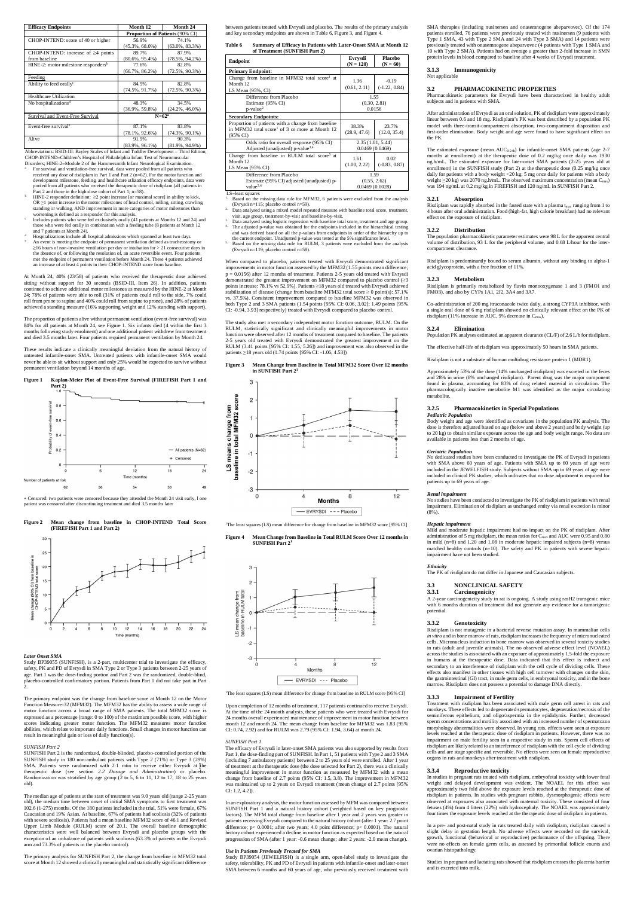| <b>Efficacy Endpoints</b>                       | Month 12                        | Month 24           |
|-------------------------------------------------|---------------------------------|--------------------|
|                                                 | Proportion of Patients (90% CI) |                    |
| CHOP-INTEND: score of 40 or higher              | 56.9%                           | 74.1%              |
|                                                 | $(45.3\%, 68.0\%)$              | $(63.0\%, 83.3\%)$ |
| CHOP-INTEND: increase of $\geq 4$ points        | 89.7%                           | 87.9%              |
| from baseline                                   | $(80.6\%, 95.4\%)$              | $(78.5\%, 94.2\%)$ |
| HINE-2: motor milestone responders <sup>b</sup> | 77.6%                           | 82.8%              |
|                                                 | $(66.7\%, 86.2\%)$              | $(72.5\%, 90.3\%)$ |
| Feeding                                         |                                 |                    |
| Ability to feed orally <sup>c</sup>             | 84.5%                           | 82.8%              |
|                                                 | $(74.5\%, 91.7\%)$              | $(72.5\%, 90.3\%)$ |
| Healthcare Utilization                          |                                 |                    |
| No hospitalizations <sup>d</sup>                | 48.3%                           | 34.5%              |
|                                                 | $(36.9\%, 59.8\%)$              | $(24.2\%, 46.0\%)$ |
| Survival and Event-Free Survival                | $N = 62^a$                      |                    |
| Event-free survival <sup>e</sup>                | 87.1%                           | 83.8%              |
|                                                 | $(78.1\%, 92.6\%)$              | $(74.3\%, 90.1\%)$ |
| Alive                                           | 91.9%                           | 90.3%              |
|                                                 | $(83.9\%, 96.1\%)$              | $(81.9\%, 94.9\%)$ |

https: BSID-III: Bayley Scales of Infant and Toddler Development – Third Edition CHOP-INTEND=Children's Hospital of Philadelphia Infant Test of Neuromuscular Disorders; HINE-2=Module 2 of the Hammersmith Infant Neurological Examination.

- For survival and ventilation-free survival, data were pooled from all patients who received any dose of risdiplam in Part 1 and Part 2 (n=62). For the motor function and development milestone, feeding, and healthcare utlization efficacy endpoints, data were pooled from all patients who received the therapeutic dose of risdiplam (all patients in Part 2 and those in the high-dose cohort of Part 1; n=58).
- HINE-2 responder definition:  $\geq$ 2 point increase [or maximal score] in ability to kick, OR ≥1 point increase in the motor milestones of head control, rolling, sitting, crawling, standing or walking, AND improvement in more categories of motor milestones than worsening is defined as a responder for this analysis.
- c Includes patients who were fed exclusively orally (41 patients at Months 12 and 24) and  $\overline{a}$ those who were fed orally in combination with a feeding tube (8 patients at Month 12 and 7 patients at Month 24).
- d Hospitalizations include all hospital admissions which spanned at least two days. e An event is meeting the endpoint of permanent ventilation defined as tracheostomy or ≥16 hours of non-invasive ventilation per day or intubation for > 21 consecutive days in the absence of, or following the resolution of, an acute reversible event. Four patients met the endpoint of permanent ventilation before Month 24. These 4 patients achieved an increase of at least 4 points in their CHOP-INTEND score from baseline.

At Month 24, 40% (23/58) of patients who received the therapeutic dose achieved sitting without support for 30 seconds (BSID-III, Item 26). In addition, patients continued to achieve additional motor milestones as measured by the HINE-2 at Month 24; 78% of patients were able to roll (31% of patients could roll to the side, 7% could roll from prone to supine and 40% could roll from supine to prone), and 28% of patients achieved a standing measure (16% supporting weight and 12% standing with support).

The proportion of patients alive without permanent ventilation (event-free survival) was 84% for all patients at Month 24, see Figure 1. Six infants died (4 within the first 3 months following study enrolment) and one additional patient withdrew from treatment and died 3.5 months later. Four patients required permanent ventilation by Month 24.

These results indicate a clinically meaningful deviation from the natural history of untreated infantile-onset SMA. Untreated patients with infantile-onset SMA would never be able to sit without support and only 25% would be expected to survive without permanent ventilation beyond 14 months of age.

#### **Figure 1 Kaplan-Meier Plot of Event-Free Survival (FIREFISH Part 1 and Part 2)**



**Summary of Efficacy in Patients with Later-Onset SMA at Month 12** 

| of Treatment (SUNFISH Part 2)                                                                                                |                                        |                              |  |
|------------------------------------------------------------------------------------------------------------------------------|----------------------------------------|------------------------------|--|
| <b>Endpoint</b>                                                                                                              | Evrysdi<br>$(N = 120)$                 | <b>Placebo</b><br>$(N = 60)$ |  |
| <b>Primary Endpoint:</b>                                                                                                     |                                        |                              |  |
| Change from baseline in MFM32 total score at<br>Month 12<br>LS Mean $(95\% , CI)$                                            | 1.36<br>(0.61, 2.11)                   | $-0.19$<br>$(-1.22, 0.84)$   |  |
| Difference from Placebo<br>Estimate (95% CI)<br>$p$ -value <sup>2</sup>                                                      | 1.55<br>(0.30, 2.81)<br>0.0156         |                              |  |
| <b>Secondary Endpoints:</b>                                                                                                  |                                        |                              |  |
| Proportion of patients with a change from baseline<br>in MFM32 total score <sup>1</sup> of 3 or more at Month 12<br>(95% CI) | 38.3%<br>(28.9, 47.6)                  | 23.7%<br>(12.0, 35.4)        |  |
| Odds ratio for overall response (95% CI)<br>Adjusted (unadjusted) p-value <sup>3,4</sup>                                     | 2.35(1.01, 5.44)<br>0.0469(0.0469)     |                              |  |
| Change from baseline in RULM total score <sup>5</sup> at<br>Month 12<br>LS Mean $(95\% \text{ CI})$                          | 1.61<br>(1.00, 2.22)                   | 0.02<br>$(-0.83, 0.87)$      |  |
| Difference from Placebo<br>Estimate (95% CI) adjusted (unadjusted) p-<br>value <sup>2,4</sup>                                | 1.59<br>(0.55, 2.62)<br>0.0469(0.0028) |                              |  |

LS=least squares

+ Censored: two patients were censored because they attended the Month 24 visit early, l one patient was censored after discontinuing treatment and died 3.5 months later

**Figure 2 Mean change from baseline in CHOP-INTEND Total Score (FIREFISH Part 1 and Part 2)**



#### *Later Onset SMA*

Study BP39055 (SUNFISH), is a 2-part, multicenter trial to investigate the efficacy, safety, PK and PD of Evrysdi in SMA Type 2 or Type 3 patients between 2-25 years of age. Part 1 was the dose-finding portion and Part 2 was the randomized, double-blind,

placebo-controlled confirmatory portion. Patients from Part 1 did not take part in Part 2.

The primary endpoint was the change from baseline score at Month 12 on the Motor Function Measure-32 (MFM32). The MFM32 has the ability to assess a wide range of motor function across a broad range of SMA patients. The total MFM32 score is expressed as a percentage (range: 0 to 100) of the maximum possible score, with higher scores indicating greater motor function. The MFM32 measures motor function abilities, which relate to important daily functions. Small changes in motor function can result in meaningful gain or loss of daily function(s).

#### **Figure 3 Mean Change from Baseline in Total MFM32 Score Over 12 months in SUNFISH Part 2**



<sup>1</sup>The least squares (LS) mean difference for change from baseline in MFM32 score [95% CI]

#### *SUNFISH Part 2*

SUNFISH Part 2 is the randomized, double-blinded, placebo-controlled portion of the SUNFISH study in 180 non-ambulant patients with Type 2 (71%) or Type 3 (29%) SMA. Patients were randomized with  $2:1$  ratio to receive either Evrysdi at  $[$ the therapeutic dose (see section *2.2 Dosage and Administration*) or placebo. Randomization was stratified by age group (2 to 5, 6 to 11, 12 to 17, 18 to 25 years old).

The median age of patients at the start of treatment was 9.0 years old (range 2-25 years old), the median time between onset of initial SMA symptoms to first treatment was 102.6 (1-275) months. Of the 180 patients included in the trial, 51% were female, 67% Caucasian and 19% Asian. At baseline, 67% of patients had scoliosis (32% of patients with severe scoliosis). Patients had a mean baseline MFM32 score of 46.1 and Revised Upper Limb Module (RULM) score of 20.1. The overall baseline demographic characteristics were well balanced between Evrysdi and placebo groups with the exception of an imbalance of patients with scoliosis (63.3% of patients in the Evrysdi arm and 73.3% of patients in the placebo control).

SMA therapies (including nusinersen and onasemnogene abeparvovec). Of the 174 patients enrolled, 76 patients were previously treated with nusinersen (9 patients with Type 1 SMA, 43 with Type 2 SMA and 24 with Type 3 SMA) and 14 patients were previously treated with onasemnogene abeparvovec (4 patients with Type 1 SMA and 10 with Type 2 SMA). Patients had on average a greater than 2-fold increase in SMN protein levels in blood compared to baseline after 4 weeks of Evrysdi treatment.

The primary analysis for SUNFISH Part 2, the change from baseline in MFM32 total score at Month 12 showed a clinically meaningful and statistically significant difference - EVRYSDI --- Placebo

<sup>1</sup>The least squares (LS) mean difference for change from baseline in RULM score [95% CI]

between patients treated with Evrysdi and placebo. The results of the primary analysis and key secondary endpoints are shown in Table 6, Figure 3, and Figure 4.

> Co-administration of 200 mg itraconazole twice daily, a strong CYP3A inhibitor, with a single oral dose of 6 mg risdiplam showed no clinically relevant effect on the PK of risdiplam (11% increase in AUC, 9% decrease in C<sub>max</sub>).

- 1. Based on the missing data rule for MFM32, 6 patients were excluded from the analysis (Evrysdi n=115; placebo control n=59).
- 2. Data analysed using a mixed model repeated measure with baseline total score, treatment visit, age group, treatment-by-visit and baseline-by-visit.
- Data analysed using logistic regression with baseline total score, treatment and age group. The adjusted p-value was obtained for the endpoints included in the hierarchical testing and was derived based on all the p-values from endpoints in order of the hierarchy up to
- the current endpoint. Unadjusted p-value was tested at the 5% significance level. 5. Based on the missing data rule for RULM, 3 patients were excluded from the analysis (Evrysdi n=119; placebo control n=58).

When compared to placebo, patients treated with Evrysdi demonstrated significant improvements in motor function assessed by the MFM32 (1.55 points mean difference;  $p = 0.0156$ ) after 12 months of treatment. Patients 2-5 years old treated with Evrysdi demonstrated the greatest improvement on MFM32 compared to placebo control (≥3 points increase: 78.1% vs 52.9%). Patients ≥18 years old treated with Evrysdi achieved stabilization of disease (change from baseline MFM32 total score ≥ 0 point(s): 57.1% vs. 37.5%). Consistent improvement compared to baseline MFM32 was observed in both Type 2 and 3 SMA patients (1.54 points [95% CI: 0.06, 3.02]; 1.49 points [95% CI: -0.94, 3.93] respectively) treated with Evrysdi compared to placebo control.

The study also met a secondary independent motor function outcome, RULM. On the RULM, statistically significant and clinically meaningful improvements in motor function were observed after 12 months of treatment compared to baseline. The patients 2-5 years old treated with Evrysdi demonstrated the greatest improvement on the RULM (3.41 points [95% CI: 1.55, 5.26]) and improvement was also observed in the patients ≥18 years old (1.74 points [95% CI: -1.06, 4.53])

> In studies in pregnant rats treated with risdiplam, embryofetal toxicity with lower fetal weight and delayed development was evident. The NOAEL for this effect was approximately two fold above the exposure levels reached at the therapeutic dose of risdiplam in patients. In studies with pregnant rabbits, dysmorphogenic effects were observed at exposures also associated with maternal toxicity. These consisted of four fetuses (4%) from 4 litters (22%) with hydrocephaly. The NOAEL was approximately four times the exposure levels reached at the therapeutic dose of risdiplam in patients.

#### **Figure 4 Mean Change from Baseline in Total RULM Score Over 12 months in SUNFISH Part 2<sup>1</sup>**



Upon completion of 12 months of treatment, 117 patients continued to receive Evrysdi. At the time of the 24 month analysis, these patients who were treated with Evrysdi for 24 months overall experienced maintenance of improvement in motor function between month 12 and month 24. The mean change from baseline for MFM32 was 1.83 (95% CI: 0.74, 2.92) and for RULM was 2.79 (95% CI: 1.94, 3.64) at month 24.

#### *SUNFISH Part 1*

The efficacy of Evrysdi in later-onset SMA patients was also supported by results from Part 1, the dose-finding part of SUNFISH. In Part 1, 51 patients with Type 2 and 3 SMA (including 7 ambulatory patients) between 2 to 25 years old were enrolled. After 1 year of treatment at the therapeutic dose (the dose selected for Part 2), there was a clinically meaningful improvement in motor function as measured by MFM32 with a mean change from baseline of 2.7 points (95% CI: 1.5, 3.8). The improvement in MFM32 was maintained up to 2 years on Evrysdi treatment (mean change of 2.7 points [95%] CI: 1.2, 4.2]).

In an exploratory analysis, the motor function assessed by MFM was compared between SUNFISH Part 1 and a natural history cohort (weighted based on key prognostic factors). The MFM total change from baseline after 1 year and 2 years was greater in patients receiving Evrysdi compared to the natural history cohort (after 1 year: 2.7 point difference; p< 0.0001; after two years; 4.0 point difference; p< 0.0001). The natural history cohort experienced a decline in motor function as expected based on the natural progression of SMA (after 1 year: -0.6 mean change; after 2 years: -2.0 mean change).

#### *Use in Patients Previously Treated for SMA*

Study BP39054 (JEWELFISH) is a single arm, open-label study to investigate the safety, tolerability, PK and PD of Evrysdi in patients with infantile-onset and later-onset SMA between 6 months and 60 years of age, who previously received treatment with **3.1.3 Immunogenicity**

Not applicable

#### **3.2 PHARMACOKINETIC PROPERTIES**

Pharmacokinetic parameters for Evrysdi have been characterized in healthy adult subjects and in patients with SMA.

After administration of Evrysdi as an oral solution, PK of risdiplam were approximately linear between 0.6 and 18 mg. Risdiplam's PK was best described by a population PK model with three-transit-compartment absorption, two-compartment disposition and first-order elimination. Body weight and age were found to have significant effect on the PK.

The estimated exposure (mean  $AUC_{0-24h}$ ) for infantile-onset SMA patients (age 2-7 months at enrollment) at the therapeutic dose of 0.2 mg/kg once daily was 1930 ng.h/mL. The estimated exposure for later-onset SMA patients (2-25 years old at enrollment) in the SUNFISH study (Part 2) at the therapeutic dose (0.25 mg/kg once daily for patients with a body weight <20 kg; 5 mg once daily for patients with a body weight ≥20 kg) was 2070 ng.h/mL. The observed maximum concentration (mean C<sub>max</sub>) was 194 ng/mL at 0.2 mg/kg in FIREFISH and 120 ng/mL in SUNFISH Part 2.

#### **3.2.1 Absorption**

Risdiplam was rapidly absorbed in the fasted state with a plasma tmax ranging from 1 to 4 hours after oral administration. Food (high-fat, high calorie breakfast) had no relevant effect on the exposure of risdiplam.

#### **3.2.2 Distribution**

The population pharmacokinetic parameter estimates were 98 L for the apparent central volume of distribution, 93 L for the peripheral volume, and 0.68 L/hour for the intercompartment clearance.

Risdiplam is predominantly bound to serum albumin, without any binding to alpha-1 acid glycoprotein, with a free fraction of 11%.

#### **3.2.3 Metabolism**

Risdiplam is primarily metabolized by flavin monooxygenase 1 and 3 (FMO1 and FMO3), and also by CYPs 1A1, 2J2, 3A4 and 3A7.

#### **3.2.4 Elimination**

Population PK analyses estimated an apparent clearance (CL/F) of 2.6 L/h for risdiplam.

The effective half-life of risdiplam was approximately 50 hours in SMA patients.

Risdiplam is not a substrate of human multidrug resistance protein 1 (MDR1).

Approximately 53% of the dose (14% unchanged risdiplam) was excreted in the feces and 28% in urine (8% unchanged risdiplam). Parent drug was the major component found in plasma, accounting for 83% of drug related material in circulation. The pharmacologically inactive metabolite M1 was identified as the major circulating metabolite.

#### **3.2.5 Pharmacokinetics in Special Populations**

*Pediatric Population*

Body weight and age were identified as covariates in the population PK analysis. The dose is therefore adjusted based on age (below and above 2 years) and body weight (up to 20 kg) to obtain similar exposure across the age and body weight range. No data are available in patients less than 2 months of age.

#### *Geriatric Population*

No dedicated studies have been conducted to investigate the PK of Evrysdi in patients with SMA above 60 years of age. Patients with SMA up to 60 years of age were included in the JEWELFISH study. Subjects without SMA up to 69 years of age were included in clinical PK studies, which indicates that no dose adjustment is required for patients up to 69 years of age.

#### *Renal impairment*

No studies have been conducted to investigate the PK of risdiplam in patients with renal impairment. Elimination of risdiplam as unchanged entity via renal excretion is minor (8%).

#### *Hepatic impairment*

Mild and moderate hepatic impairment had no impact on the PK of risdiplam. After administration of 5 mg risdiplam, the mean ratios for  $C_{\text{max}}$  and AUC were 0.95 and 0.80 in mild (n=8) and 1.20 and 1.08 in moderate hepatic impaired subjects (n=8) versus matched healthy controls (n=10). The safety and PK in patients with severe hepatic impairment have not been studied.

#### *Ethnicity*

The PK of risdiplam do not differ in Japanese and Caucasian subjects.

## **3.3 NONCLINICAL SAFETY**

#### **3.3.1 Carcinogenicity**

A 2-year carcinogenicity study in rat is ongoing. A study using rasH2 transgenic mice with 6 months duration of treatment did not generate any evidence for a tumorigenic potential.

#### **3.3.2 Genotoxicity**

Risdiplam is not mutagenic in a bacterial reverse mutation assay. In mammalian cells *in vitro* and in bone marrow of rats, risdiplam increases the frequency of micronucleated cells. Micronucleus induction in bone marrow was observed in several toxicity studies in rats (adult and juvenile animals). The no observed adverse effect level (NOAEL) across the studies is associated with an exposure of approximately 1.5-fold the exposure in humans at the therapeutic dose. Data indicated that this effect is indirect and secondary to an interference of risdiplam with the cell cycle of dividing cells. These effects also manifest in other tissues with high cell turnover with changes on the skin, the gastrointestinal (GI) tract, in male germ cells, in embryonal toxicity, and in the bone marrow. Risdiplam does not possess a potential to damage DNA directly.

#### **3.3.3 Impairment of Fertility**

Treatment with risdiplam has been associated with male germ cell arrest in rats and monkeys. These effects led to degenerated spermatocytes, degeneration/necrosis of the seminiferous epithelium, and oligo/aspermia in the epididymis. Further, decreased sperm concentrations and motility associated with an increased number of spermatozoa morphology abnormalities were observed. In young rats, effects were seen at exposure levels reached at the therapeutic dose of risdiplam in patients. However, there was no impairment on male fertility seen in a respective study in rats. Sperm cell effects of risdiplam are likely related to an interference of risdiplam with the cell cycle of dividing cells and are stage specific and reversible. No effects were seen on female reproductive organs in rats and monkeys after treatment with risdiplam.

#### **3.3.4 Reproductive toxicity**

In a pre- and post-natal study in rats treated daily with risdiplam, risdiplam caused a slight delay in gestation length. No adverse effects were recorded on the survival, growth, functional (behavioral or reproductive) performance of the offspring. There were no effects on female germ cells, as assessed by primordial follicle counts and ovarian histopathology.

Studies in pregnant and lactating rats showed that risdiplam crosses the placenta barrier and is excreted into milk.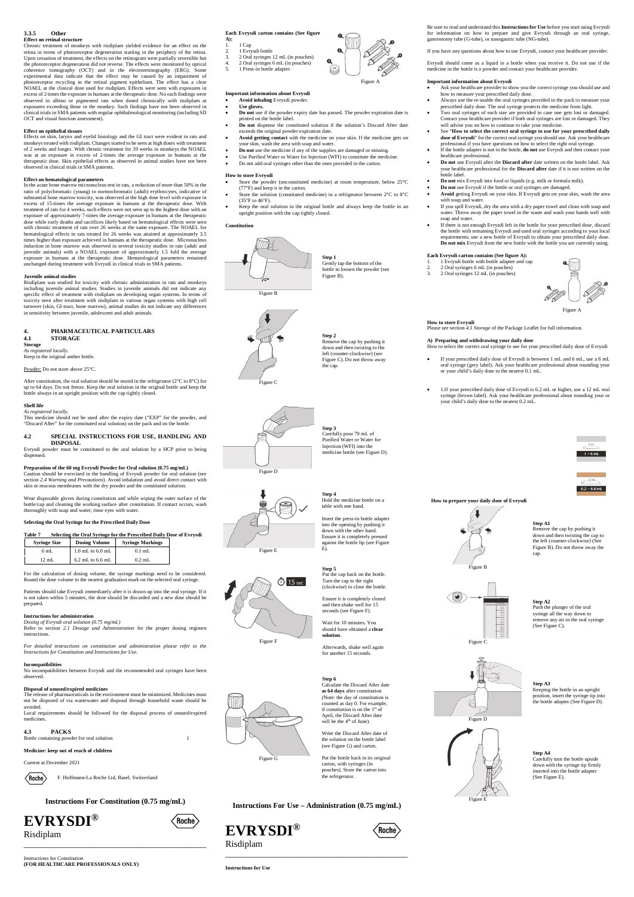#### **3.3.5 Other Effect on retinal structure**

Chronic treatment of monkeys with risdiplam yielded evidence for an effect on the retina in terms of photoreceptor degeneration starting in the periphery of the retina. Upon cessation of treatment, the effects on the retinogram were partially reversible but the photoreceptor degeneration did not reverse. The effects were monitored by optical coherence tomography (OCT) and in the electroretinography (ERG). Some experimental data indicate that the effect may be caused by an impairment of photoreceptor recycling in the retinal pigment epithelium. The effect has a clear NOAEL at the clinical dose used for risdiplam. Effects were seen with exposures in excess of 2 times the exposure in humans at the therapeutic dose. No such findings were observed in albino or pigmented rats when dosed chronically with risdiplam at exposures exceeding those in the monkey. Such findings have not been observed in clinical trials in SMA patients with regular ophthalmological monitoring (including SD OCT and visual function assessment).

#### **Effect on epithelial tissues**

Effects on skin, larynx and eyelid histology and the GI tract were evident in rats and monkeys treated with risdiplam. Changes started to be seen at high doses with treatment of 2 weeks and longer. With chronic treatment for 39 weeks in monkeys the NOAEL was at an exposure in excess of 2-times the average exposure in humans at the therapeutic dose. Skin epithelial effects as observed in animal studies have not been observed in clinical trials in SMA patients.

#### **Effect on hematological parameters**

In the acute bone marrow micronucleus test in rats, a reduction of more than 50% in the ratio of polychromatic (young) to normochromatic (adult) erythrocytes, indicative of substantial bone marrow toxicity, was observed at the high dose level with exposure in excess of 15-times the average exposure in humans at the therapeutic dose. With treatment of rats for 4 weeks, such effects were not seen up to the highest dose with an exposure of approximately 7-times the average exposure in humans at the therapeutic dose while early deaths and sacrifices likely based on hematological effects were seen with chronic treatment of rats over 26 weeks at the same exposure. The NOAEL for hematological effects in rats treated for 26 weeks was attained at approximately 3.5 times higher than exposure achieved in humans at the therapeutic dose. Micronucleus induction in bone marrow was observed in several toxicity studies in rats (adult and juvenile animals) with a NOAEL exposure of approximately 1.5 fold the average exposure in humans at the therapeutic dose. Hematological parameters remained unchanged during treatment with Evrysdi in clinical trials in SMA patients.

No incompatibilities between Evrysdi and the recommended oral syringes have been served

#### **Juvenile animal studies**

The release of pharmaceuticals in the environment must be minimized. Medicines must not be disposed of via wastewater and disposal through household waste should be avoided

**4.3 PACKS** Bottle containing powder for oral solution 1

Risdiplam was studied for toxicity with chronic administration in rats and monkeys including juvenile animal studies. Studies in juvenile animals did not indicate any specific effect of treatment with risdiplam on developing organ systems. In terms of toxicity seen after treatment with risdiplam in various organ systems with high cell turnover (skin, GI-tract, bone marrow), animal studies do not indicate any differences in sensitivity between juvenile, adolescent and adult animals.

- 
- 2. 1 Evrysdi bottle<br>3. 2 Oral syringes 3. 2 Oral syringes 12 mL (in pouches)<br>4. 2 Oral syringes 6 mL (in pouches)
- 4. 2 Oral syringes 6 mL (in pouches)
- 5. 1 Press-in bottle adapter

#### **4. PHARMACEUTICAL PARTICULARS 4.1 STORAGE**

**Storage**

*As registered locally.* Keep in the original amber bottle.

Powder: Do not store above 25°C.

After constitution, the oral solution should be stored in the refrigerator (2°C to 8°C) for up to 64 days. Do not freeze. Keep the oral solution in the original bottle and keep the bottle always in an upright position with the cap tightly closed.

#### **Shelf life**

*As registered locally.* This medicine should not be used after the expiry date ("EXP" for the powder, and "Discard After" for the constituted oral solution) on the pack and on the bottle.

> **Step 4** Hold the medicine bottle on a table with one hand

#### **4.2 SPECIAL INSTRUCTIONS FOR USE, HANDLING AND DISPOSAL**

Evrysdi powder must be constituted to the oral solution by a HCP prior to being dispensed.

#### **Preparation of the 60 mg Evrysdi Powder for Oral solution (0.75 mg/mL)** Caution should be exercised in the handling of Evrysdi powder for oral solution (see section *2.4 Warning and Precautions*). Avoid inhalation and avoid direct contact with skin or mucous membranes with the dry powder and the constituted solution.

Wear disposable gloves during constitution and while wiping the outer surface of the bottle/cap and cleaning the working surface after constitution. If contact occurs, wash thoroughly with soap and water; rinse eyes with water.

#### **Selecting the Oral Syringe for the Prescribed Daily Dose**

| Table 7<br>Selecting the Oral Syringe for the Prescribed Daily Dose of Evrysdi |                     |                      |                         |  |  |
|--------------------------------------------------------------------------------|---------------------|----------------------|-------------------------|--|--|
|                                                                                | <b>Syringe Size</b> | <b>Dosing Volume</b> | <b>Syringe Markings</b> |  |  |
|                                                                                | 6 mL                | $1.0$ mL to $6.0$ mL | $0.1$ mL                |  |  |
|                                                                                | $12 \text{ mL}$     | $6.2$ mL to $6.6$ mL | $0.2$ mL                |  |  |

For the calculation of dosing volume, the syringe markings need to be considered. Round the dose volume to the nearest graduation mark on the selected oral syringe.

Patients should take Evrysdi immediately after it is drawn up into the oral syringe. If it is not taken within 5 minutes, the dose should be discarded and a new dose should be prepared.

#### **Instructions for administration**

*Dosing of Evrysdi oral solution (0.75 mg/mL)*

Refer to section *2.1 Dosage and Administration* for the proper dosing regimen instructions.

*For detailed instructions on constitution and administration please refer to the Instructions for Constitution and Instructions for Use.*

## **Incompatibilities**

#### **Disposal of unused/expired medicines**

Local requirements should be followed for the disposal process of unused/expired medicines.

#### **Medicine: keep out of reach of children**

Current at December 2021



F. Hoffmann-La Roche Ltd, Basel, Switzerland

**Instructions For Constitution (0.75 mg/mL)**

# **EVRYSDI®**



Risdiplam

\_\_\_\_\_\_\_\_\_\_\_\_\_\_\_\_\_\_\_\_\_\_\_\_\_\_\_\_\_\_\_\_\_\_\_\_\_\_\_\_\_\_\_\_

Instructions for Constitution **(FOR HEALTHCARE PROFESSIONALS ONLY)**

#### **Each Evrysdi carton contains (See figure**

**A):** 1. 1 Cap

> **Step A4** Carefully turn the bottle upside down with the syringe tip firmly inserted into the bottle adapter<br>(See Figure E).

Figure A

#### **Important information about Evrysdi**

- **Avoid inhaling** Evrysdi powder.
- **Use gloves. Do not** use if the powder expiry date has passed. The powder expiration date is
- printed on the bottle label. **Do not** dispense the constituted solution if the solution's Discard After date
- exceeds the original powder expiration date. **Avoid getting contact** with the medicine on your skin. If the medicine gets on
- your skin, wash the area with soap and water.
- **Do not** use the medicine if any of the supplies are damaged or missing.
- Use Purified Water or Water for Injection (WFI) to constitute the medicine.
- Do not add oral syringes other than the ones provided in the carton.

#### **How to store Evrysdi**

- Store the powder (unconstituted medicine) at room temperature, below 25°C (77°F) and keep it in the carton.
- Store the solution (constituted medicine) in a refrigerator between 2°C to 8°C (35°F to 46°F).
- Keep the oral solution in the original bottle and always keep the bottle in an upright position with the cap tightly closed.

#### **Constitution**



**Step 1** Gently tap the bottom of the bottle to loosen the powder (see Figure B).

Figure C

Remove the cap by pushing it down and then twisting to the left (counter-clockwise) (see Figure C). Do not throw away



Figure D

**Step 3** Carefully pour 79 mL of Purified Water or Water for Injection (WFI) into the medicine bottle (see Figure D).

Figure E

 $\ddot{\bigcirc}$  15 sec

Insert the press-in bottle adapter into the opening by pushing it down with the other hand. Ensure it is completely pressed against the bottle lip (see Figure E).

Figure F

**Step 5** Put the cap back on the bottle. Turn the cap to the right (clockwise) to close the bottle.

Ensure it is completely closed and then shake well for 15 seconds (see Figure F).

Wait for 10 minutes. You should have obtained a **clear solution**.

Afterwards, shake well again for another 15 seconds.

Figure G

**Step 6** Calculate the Discard After date **as 64 days** after constitution *(*Note: the day of constitution is counted as day 0. For example, if constitution is on the 1st of April, the Discard After date will be the 4th of June)*.*

Write the Discard After date of the solution on the bottle label (see Figure G) and carton.

Put the bottle back in its original carton, with syringes (in pouches). Store the carton into the refrigerator.

**Instructions For Use – Administration (0.75 mg/mL)**

**EVRYSDI®**

Risdiplam

\_\_\_\_\_\_\_\_\_\_\_\_\_\_\_\_\_\_\_\_\_\_\_\_\_\_\_\_\_\_\_\_\_\_\_\_\_\_\_\_\_\_\_\_

**Instructions for Use**



Be sure to read and understand this **Instructions for Use** before you start using Evrysdi for information on how to prepare and give Evrysdi through an oral syringe, gastrostomy tube (G-tube), or nasogastric tube (NG-tube).

If you have any questions about how to use Evrysdi, contact your healthcare provider.

Evrysdi should come as a liquid in a bottle when you receive it. Do not use if the medicine in the bottle is a powder and contact your healthcare provider.

#### **Important information about Evrysdi**

- Ask your healthcare provider to show you the correct syringe you should use and how to measure your prescribed daily dose.
	- Always use the re-usable the oral syringes provided in the pack to measure your prescribed daily dose. The oral syringe protects the medicine from light.
	- Two oral syringes of each size are provided in case one gets lost or damaged. Contact your healthcare provider if both oral syringes are lost or damaged. They will advise you on how to continue to take your medicine.
	- See "**How to select the correct oral syringe to use for your prescribed daily dose of Evrysdi**" for the correct oral syringe you should use. Ask your healthcare professional if you have questions on how to select the right oral syringe.
	- If the bottle adapter is not in the bottle, **do not** use Evrysdi and then contact your healthcare professional.
	- **Do not** use Evrysdi after the **Discard after** date written on the bottle label. Ask your healthcare professional for the **Discard after** date if it is not written on the .<br>bottle label.
	- **Do not** mix Evrysdi into food or liquids (e.g. milk or formula milk).
	- **Do not** use Evrysdi if the bottle or oral syringes are damaged.
- **Avoid** getting Evrysdi on your skin. If Evrysdi gets on your skin, wash the area with soap and water.
- If you spill Evrysdi, dry the area with a dry paper towel and clean with soap and water. Throw away the paper towel in the waste and wash your hands well with soap and water.
- If there is not enough Evrysdi left in the bottle for your prescribed dose, discard the bottle with remaining Evrysdi and used oral syringes according to your local requirements; use a new bottle of Evrysdi to obtain your prescribed daily dose. **Do not mix** Evrysdi from the new bottle with the bottle you are currently using.

#### **Each Evrysdi carton contains (See figure A):**

- 1. 1 Evrysdi bottle with bottle adapter and cap 2. 2 Oral syringes 6 mL (in pouches)
- 3. 2 Oral syringes 12 mL (in pouches)



#### **How to store Evrysdi**

Please see section *4.1 Storage* of the Package Leaflet for full information.

#### **A) Preparing and withdrawing your daily dose**

How to select the correct oral syringe to use for your prescribed daily dose of Evrysdi If your prescribed daily dose of Evrysdi is between 1 mL and 6 mL, use a 6 mL oral syringe (grey label). Ask your healthcare professional about rounding your

or your child's daily dose to the nearest 0.1 mL.

 1.If your prescribed daily dose of Evrysdi is 6.2 mL or higher, use a 12 mL oral syringe (brown label). Ask your healthcare professional about rounding your or your child's daily dose to the nearest 0.2 mL.





#### **How to prepare your daily dose of Evrysdi**

Figure B





**Step A2** Push the plunger of the oral syringe all the way down to remove any air in the oral syringe (See Figure C).



**Step A3** Keeping the bottle in an upright position, insert the syringe tip into the bottle adapter (See Figure D).

Figure E